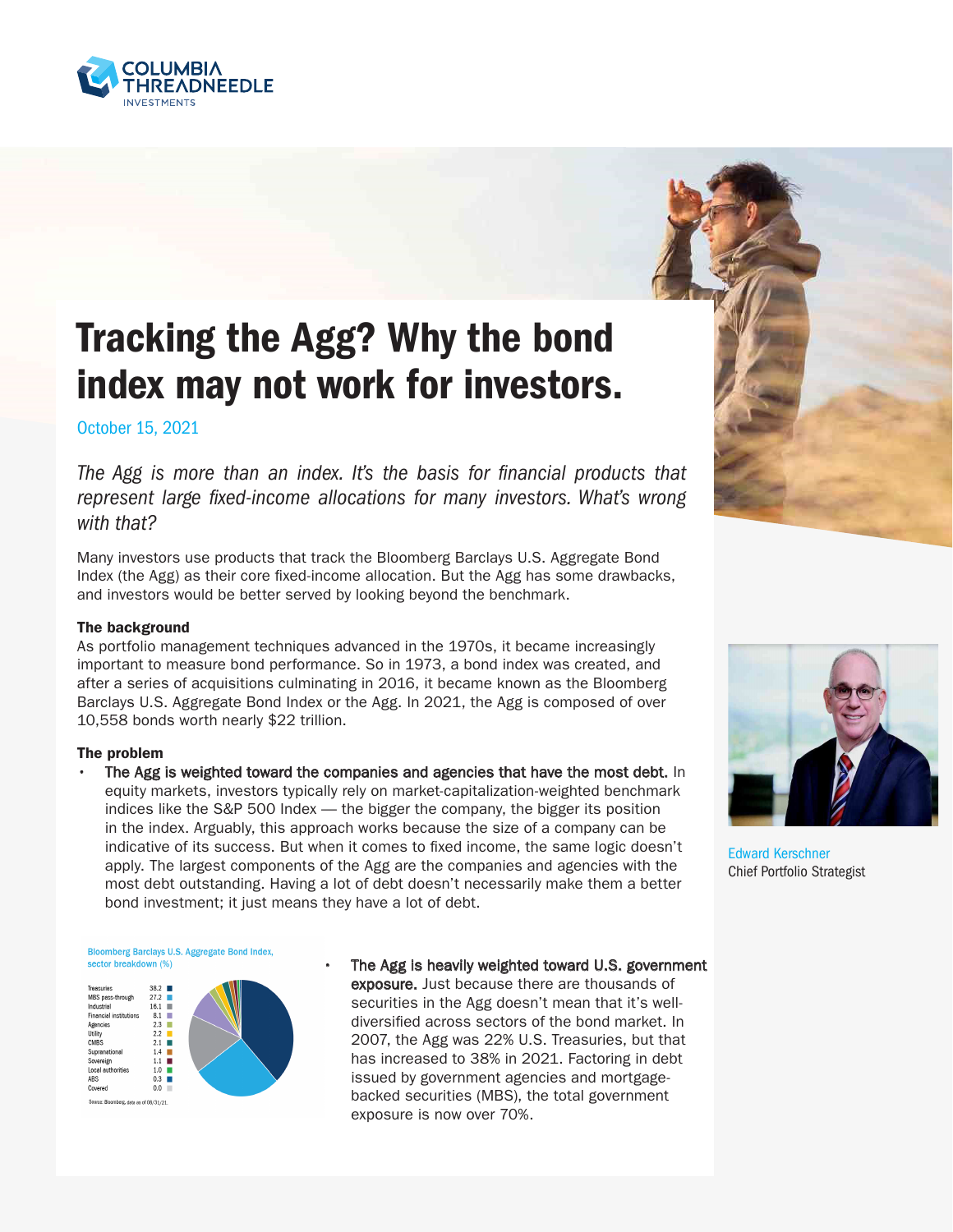

## Tracking the Agg? Why the bond index may not work for investors.

October 15, 2021

The Agg is more than an index. It's the basis for financial products that represent large fixed-income allocations for many investors. What's wrong with that?

Many investors use products that track the Bloomberg Barclays U.S. Aggregate Bond Index (the Agg) as their core fixed-income allocation. But the Agg has some drawbacks, and investors would be better served by looking beyond the benchmark.

## The background

As portfolio management techniques advanced in the 1970s, it became increasingly important to measure bond performance. So in 1973, a bond index was created, and after a series of acquisitions culminating in 2016, it became known as the Bloomberg Barclays U.S. Aggregate Bond Index or the Agg. In 2021, the Agg is composed of over 10,558 bonds worth nearly \$22 trillion.

## The problem

The Agg is weighted toward the companies and agencies that have the most debt. In equity markets, investors typically rely on market-capitalization-weighted benchmark indices like the S&P 500 Index — the bigger the company, the bigger its position in the index. Arguably, this approach works because the size of a company can be indicative of its success. But when it comes to fixed income, the same logic doesn't apply. The largest components of the Agg are the companies and agencies with the most debt outstanding. Having a lot of debt doesn't necessarily make them a better bond investment; it just means they have a lot of debt.



Edward Kerschner Chief Portfolio Strategist

Bloomberg Barclays U.S. Aggregate Bond Index, sector breakdown (%)



The Agg is heavily weighted toward U.S. government exposure. Just because there are thousands of securities in the Agg doesn't mean that it's welldiversified across sectors of the bond market. In 2007, the Agg was 22% U.S. Treasuries, but that has increased to 38% in 2021. Factoring in debt issued by government agencies and mortgagebacked securities (MBS), the total government exposure is now over 70%.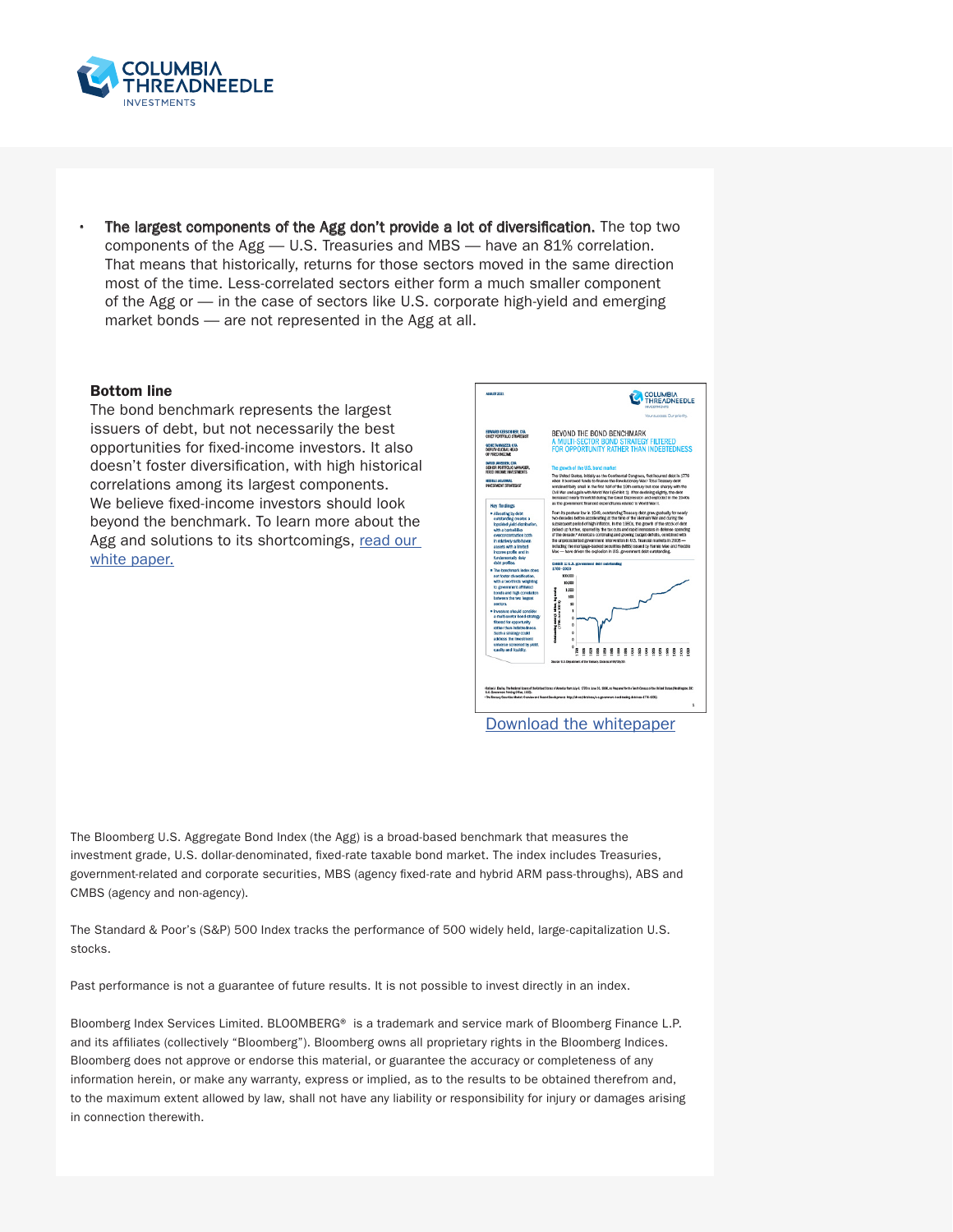

The largest components of the Agg don't provide a lot of diversification. The top two components of the Agg — U.S. Treasuries and MBS — have an 81% correlation. That means that historically, returns for those sectors moved in the same direction most of the time. Less-correlated sectors either form a much smaller component of the Agg or — in the case of sectors like U.S. corporate high-yield and emerging market bonds — are not represented in the Agg at all.

## Bottom line

The bond benchmark represents the largest issuers of debt, but not necessarily the best opportunities for fixed-income investors. It also doesn't foster diversification, with high historical correlations among its largest components. We believe fixed-income investors should look beyond the benchmark. To learn more about the Agg and solutions to its shortcomings, [read our](https://www.columbiathreadneedleus.com/binaries/content/assets/cti-blog/beyond-the-bond-benchmark_white-paper.pdf)  [white paper.](https://www.columbiathreadneedleus.com/binaries/content/assets/cti-blog/beyond-the-bond-benchmark_white-paper.pdf)



The Bloomberg U.S. Aggregate Bond Index (the Agg) is a broad-based benchmark that measures the investment grade, U.S. dollar-denominated, fixed-rate taxable bond market. The index includes Treasuries, government-related and corporate securities, MBS (agency fixed-rate and hybrid ARM pass-throughs), ABS and CMBS (agency and non-agency).

The Standard & Poor's (S&P) 500 Index tracks the performance of 500 widely held, large-capitalization U.S. stocks.

Past performance is not a guarantee of future results. It is not possible to invest directly in an index.

Bloomberg Index Services Limited. BLOOMBERG® is a trademark and service mark of Bloomberg Finance L.P. and its affiliates (collectively "Bloomberg"). Bloomberg owns all proprietary rights in the Bloomberg Indices. Bloomberg does not approve or endorse this material, or guarantee the accuracy or completeness of any information herein, or make any warranty, express or implied, as to the results to be obtained therefrom and, to the maximum extent allowed by law, shall not have any liability or responsibility for injury or damages arising in connection therewith.